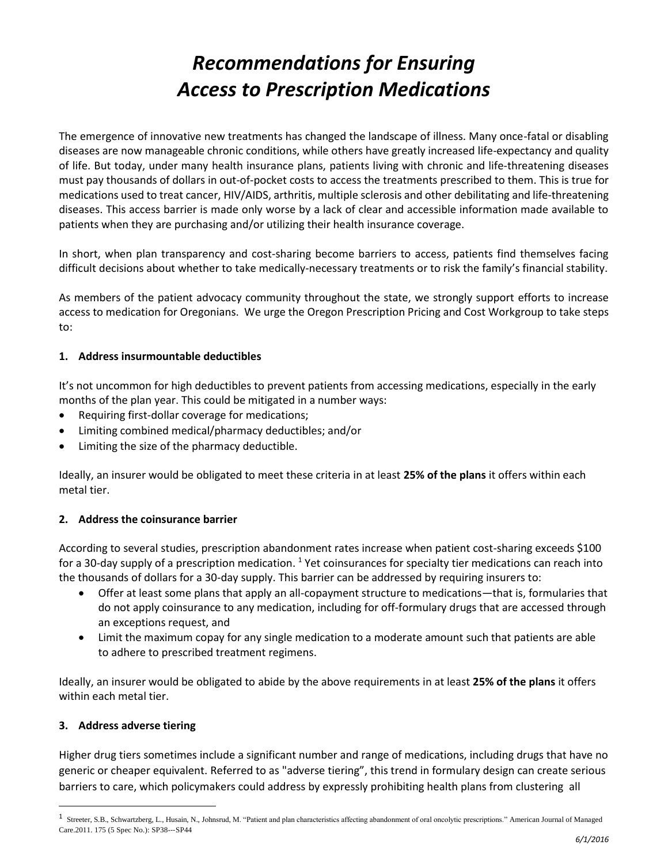# *Recommendations for Ensuring Access to Prescription Medications*

The emergence of innovative new treatments has changed the landscape of illness. Many once-fatal or disabling diseases are now manageable chronic conditions, while others have greatly increased life-expectancy and quality of life. But today, under many health insurance plans, patients living with chronic and life-threatening diseases must pay thousands of dollars in out-of-pocket costs to access the treatments prescribed to them. This is true for medications used to treat cancer, HIV/AIDS, arthritis, multiple sclerosis and other debilitating and life-threatening diseases. This access barrier is made only worse by a lack of clear and accessible information made available to patients when they are purchasing and/or utilizing their health insurance coverage.

In short, when plan transparency and cost-sharing become barriers to access, patients find themselves facing difficult decisions about whether to take medically-necessary treatments or to risk the family's financial stability.

As members of the patient advocacy community throughout the state, we strongly support efforts to increase access to medication for Oregonians. We urge the Oregon Prescription Pricing and Cost Workgroup to take steps to:

### **1. Address insurmountable deductibles**

It's not uncommon for high deductibles to prevent patients from accessing medications, especially in the early months of the plan year. This could be mitigated in a number ways:

- Requiring first-dollar coverage for medications;
- Limiting combined medical/pharmacy deductibles; and/or
- Limiting the size of the pharmacy deductible.

Ideally, an insurer would be obligated to meet these criteria in at least **25% of the plans** it offers within each metal tier.

## **2. Address the coinsurance barrier**

According to several studies, prescription abandonment rates increase when patient cost-sharing exceeds \$100 for a 30-day supply of a prescription medication. <sup>1</sup> Yet coinsurances for specialty tier medications can reach into the thousands of dollars for a 30-day supply. This barrier can be addressed by requiring insurers to:

- Offer at least some plans that apply an all-copayment structure to medications—that is, formularies that do not apply coinsurance to any medication, including for off-formulary drugs that are accessed through an exceptions request, and
- Limit the maximum copay for any single medication to a moderate amount such that patients are able to adhere to prescribed treatment regimens.

Ideally, an insurer would be obligated to abide by the above requirements in at least **25% of the plans** it offers within each metal tier.

## **3. Address adverse tiering**

 $\overline{a}$ 

Higher drug tiers sometimes include a significant number and range of medications, including drugs that have no generic or cheaper equivalent. Referred to as "adverse tiering", this trend in formulary design can create serious barriers to care, which policymakers could address by expressly prohibiting health plans from clustering all

<sup>&</sup>lt;sup>1</sup> Streeter, S.B., Schwartzberg, L., Husain, N., Johnsrud, M. "Patient and plan characteristics affecting abandonment of oral oncolytic prescriptions." American Journal of Managed Care.2011. 175 (5 Spec No.): SP38-‐‐SP44